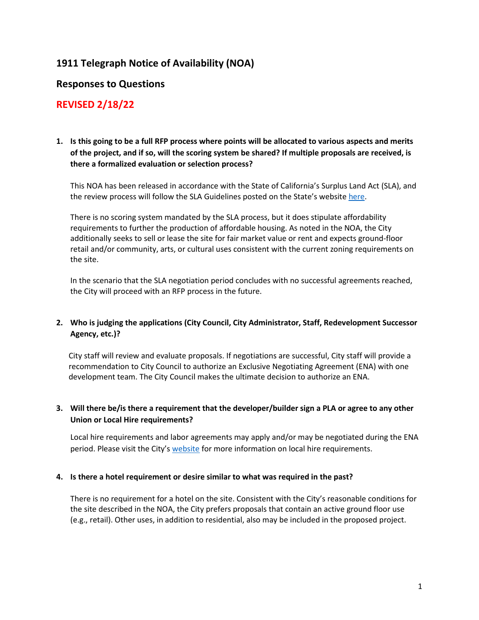# **1911 Telegraph Notice of Availability (NOA)**

## **Responses to Questions**

## **REVISED 2/18/22**

## **1. Is this going to be a full RFP process where points will be allocated to various aspects and merits of the project, and if so, will the scoring system be shared? If multiple proposals are received, is there a formalized evaluation or selection process?**

This NOA has been released in accordance with the State of California's Surplus Land Act (SLA), and the review process will follow the SLA Guidelines posted on the State's websit[e here.](https://www.hcd.ca.gov/community-development/docs/sla_guidelines_final.pdf)

There is no scoring system mandated by the SLA process, but it does stipulate affordability requirements to further the production of affordable housing. As noted in the NOA, the City additionally seeks to sell or lease the site for fair market value or rent and expects ground-floor retail and/or community, arts, or cultural uses consistent with the current zoning requirements on the site.

In the scenario that the SLA negotiation period concludes with no successful agreements reached, the City will proceed with an RFP process in the future.

## **2. Who is judging the applications (City Council, City Administrator, Staff, Redevelopment Successor Agency, etc.)?**

City staff will review and evaluate proposals. If negotiations are successful, City staff will provide a recommendation to City Council to authorize an Exclusive Negotiating Agreement (ENA) with one development team. The City Council makes the ultimate decision to authorize an ENA.

## **3. Will there be/is there a requirement that the developer/builder sign a PLA or agree to any other Union or Local Hire requirements?**

Local hire requirements and labor agreements may apply and/or may be negotiated during the ENA period. Please visit the City's [website](https://www.oaklandca.gov/topics/local-employment-program) for more information on local hire requirements.

#### **4. Is there a hotel requirement or desire similar to what was required in the past?**

There is no requirement for a hotel on the site. Consistent with the City's reasonable conditions for the site described in the NOA, the City prefers proposals that contain an active ground floor use (e.g., retail). Other uses, in addition to residential, also may be included in the proposed project.